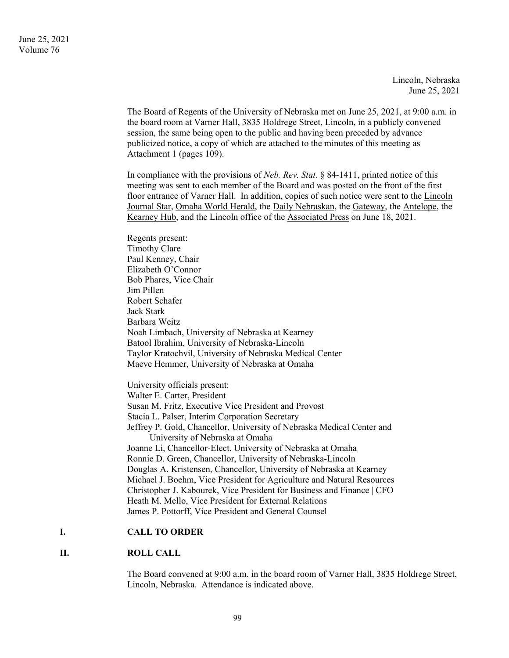Lincoln, Nebraska June 25, 2021

The Board of Regents of the University of Nebraska met on June 25, 2021, at 9:00 a.m. in the board room at Varner Hall, 3835 Holdrege Street, Lincoln, in a publicly convened session, the same being open to the public and having been preceded by advance publicized notice, a copy of which are attached to the minutes of this meeting as Attachment 1 (pages 109).

In compliance with the provisions of *Neb. Rev. Stat.* § 84-1411, printed notice of this meeting was sent to each member of the Board and was posted on the front of the first floor entrance of Varner Hall. In addition, copies of such notice were sent to the Lincoln Journal Star, Omaha World Herald, the Daily Nebraskan, the Gateway, the Antelope, the Kearney Hub, and the Lincoln office of the Associated Press on June 18, 2021.

Regents present: Timothy Clare Paul Kenney, Chair Elizabeth O'Connor Bob Phares, Vice Chair Jim Pillen Robert Schafer Jack Stark Barbara Weitz Noah Limbach, University of Nebraska at Kearney Batool Ibrahim, University of Nebraska-Lincoln Taylor Kratochvil, University of Nebraska Medical Center Maeve Hemmer, University of Nebraska at Omaha

University officials present: Walter E. Carter, President Susan M. Fritz, Executive Vice President and Provost Stacia L. Palser, Interim Corporation Secretary Jeffrey P. Gold, Chancellor, University of Nebraska Medical Center and University of Nebraska at Omaha Joanne Li, Chancellor-Elect, University of Nebraska at Omaha Ronnie D. Green, Chancellor, University of Nebraska-Lincoln Douglas A. Kristensen, Chancellor, University of Nebraska at Kearney Michael J. Boehm, Vice President for Agriculture and Natural Resources Christopher J. Kabourek, Vice President for Business and Finance | CFO Heath M. Mello, Vice President for External Relations James P. Pottorff, Vice President and General Counsel

## **I. CALL TO ORDER**

## **II. ROLL CALL**

The Board convened at 9:00 a.m. in the board room of Varner Hall, 3835 Holdrege Street, Lincoln, Nebraska. Attendance is indicated above.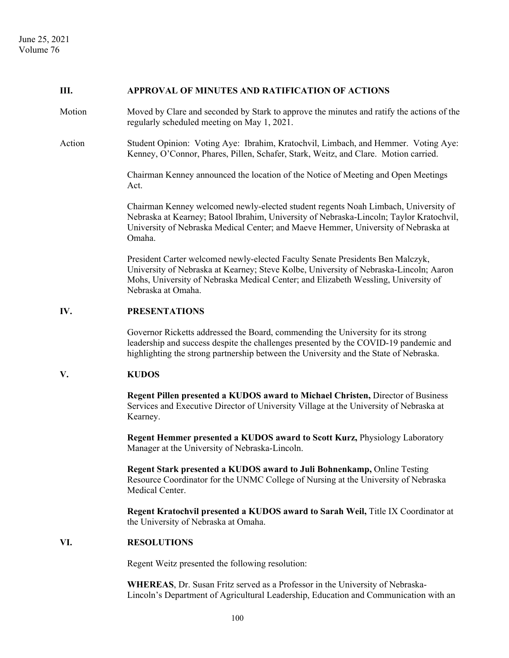#### **III. APPROVAL OF MINUTES AND RATIFICATION OF ACTIONS**

- Motion Moved by Clare and seconded by Stark to approve the minutes and ratify the actions of the regularly scheduled meeting on May 1, 2021.
- Action Student Opinion: Voting Aye: Ibrahim, Kratochvil, Limbach, and Hemmer. Voting Aye: Kenney, O'Connor, Phares, Pillen, Schafer, Stark, Weitz, and Clare. Motion carried.

 Chairman Kenney announced the location of the Notice of Meeting and Open Meetings Act.

 Chairman Kenney welcomed newly-elected student regents Noah Limbach, University of Nebraska at Kearney; Batool Ibrahim, University of Nebraska-Lincoln; Taylor Kratochvil, University of Nebraska Medical Center; and Maeve Hemmer, University of Nebraska at Omaha.

 President Carter welcomed newly-elected Faculty Senate Presidents Ben Malczyk, University of Nebraska at Kearney; Steve Kolbe, University of Nebraska-Lincoln; Aaron Mohs, University of Nebraska Medical Center; and Elizabeth Wessling, University of Nebraska at Omaha.

## **IV. PRESENTATIONS**

Governor Ricketts addressed the Board, commending the University for its strong leadership and success despite the challenges presented by the COVID-19 pandemic and highlighting the strong partnership between the University and the State of Nebraska.

### **V. KUDOS**

**Regent Pillen presented a KUDOS award to Michael Christen,** Director of Business Services and Executive Director of University Village at the University of Nebraska at Kearney.

**Regent Hemmer presented a KUDOS award to Scott Kurz, Physiology Laboratory** Manager at the University of Nebraska-Lincoln.

**Regent Stark presented a KUDOS award to Juli Bohnenkamp,** Online Testing Resource Coordinator for the UNMC College of Nursing at the University of Nebraska Medical Center.

 **Regent Kratochvil presented a KUDOS award to Sarah Weil,** Title IX Coordinator at the University of Nebraska at Omaha.

#### **VI. RESOLUTIONS**

Regent Weitz presented the following resolution:

**WHEREAS**, Dr. Susan Fritz served as a Professor in the University of Nebraska-Lincoln's Department of Agricultural Leadership, Education and Communication with an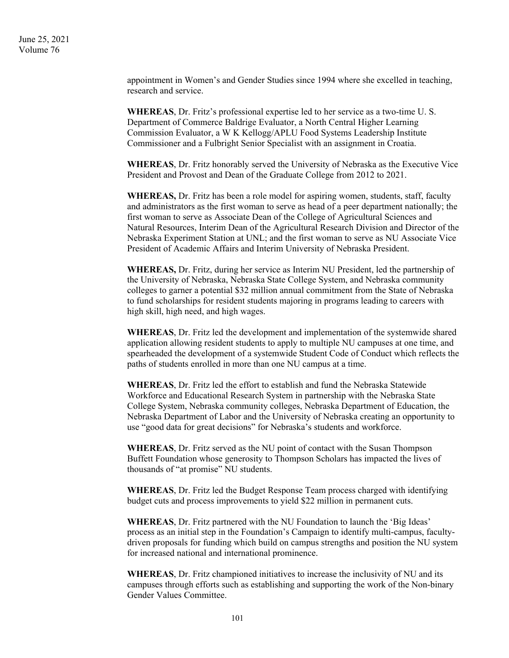> appointment in Women's and Gender Studies since 1994 where she excelled in teaching, research and service.

**WHEREAS**, Dr. Fritz's professional expertise led to her service as a two-time U. S. Department of Commerce Baldrige Evaluator, a North Central Higher Learning Commission Evaluator, a W K Kellogg/APLU Food Systems Leadership Institute Commissioner and a Fulbright Senior Specialist with an assignment in Croatia.

**WHEREAS**, Dr. Fritz honorably served the University of Nebraska as the Executive Vice President and Provost and Dean of the Graduate College from 2012 to 2021.

**WHEREAS,** Dr. Fritz has been a role model for aspiring women, students, staff, faculty and administrators as the first woman to serve as head of a peer department nationally; the first woman to serve as Associate Dean of the College of Agricultural Sciences and Natural Resources, Interim Dean of the Agricultural Research Division and Director of the Nebraska Experiment Station at UNL; and the first woman to serve as NU Associate Vice President of Academic Affairs and Interim University of Nebraska President.

**WHEREAS,** Dr. Fritz, during her service as Interim NU President, led the partnership of the University of Nebraska, Nebraska State College System, and Nebraska community colleges to garner a potential \$32 million annual commitment from the State of Nebraska to fund scholarships for resident students majoring in programs leading to careers with high skill, high need, and high wages.

**WHEREAS**, Dr. Fritz led the development and implementation of the systemwide shared application allowing resident students to apply to multiple NU campuses at one time, and spearheaded the development of a systemwide Student Code of Conduct which reflects the paths of students enrolled in more than one NU campus at a time.

**WHEREAS**, Dr. Fritz led the effort to establish and fund the Nebraska Statewide Workforce and Educational Research System in partnership with the Nebraska State College System, Nebraska community colleges, Nebraska Department of Education, the Nebraska Department of Labor and the University of Nebraska creating an opportunity to use "good data for great decisions" for Nebraska's students and workforce.

**WHEREAS**, Dr. Fritz served as the NU point of contact with the Susan Thompson Buffett Foundation whose generosity to Thompson Scholars has impacted the lives of thousands of "at promise" NU students.

**WHEREAS**, Dr. Fritz led the Budget Response Team process charged with identifying budget cuts and process improvements to yield \$22 million in permanent cuts.

**WHEREAS**, Dr. Fritz partnered with the NU Foundation to launch the 'Big Ideas' process as an initial step in the Foundation's Campaign to identify multi-campus, facultydriven proposals for funding which build on campus strengths and position the NU system for increased national and international prominence.

**WHEREAS**, Dr. Fritz championed initiatives to increase the inclusivity of NU and its campuses through efforts such as establishing and supporting the work of the Non-binary Gender Values Committee.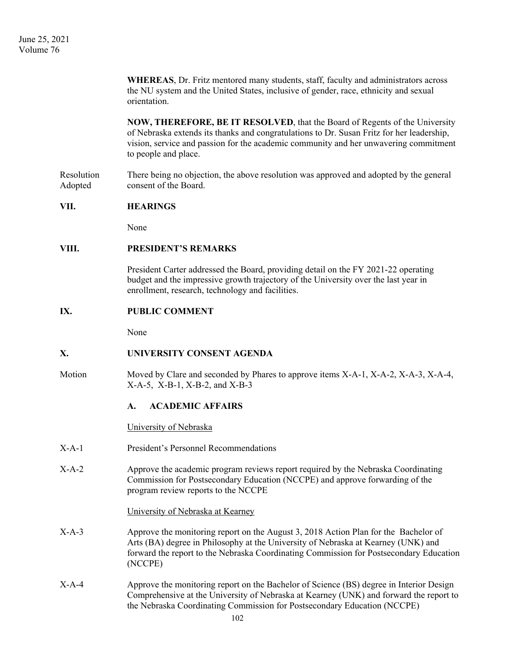**WHEREAS**, Dr. Fritz mentored many students, staff, faculty and administrators across the NU system and the United States, inclusive of gender, race, ethnicity and sexual orientation.

**NOW, THEREFORE, BE IT RESOLVED**, that the Board of Regents of the University of Nebraska extends its thanks and congratulations to Dr. Susan Fritz for her leadership, vision, service and passion for the academic community and her unwavering commitment to people and place.

Resolution There being no objection, the above resolution was approved and adopted by the general Adopted consent of the Board.

## **VII. HEARINGS**

None

## **VIII. PRESIDENT'S REMARKS**

President Carter addressed the Board, providing detail on the FY 2021-22 operating budget and the impressive growth trajectory of the University over the last year in enrollment, research, technology and facilities.

### **IX. PUBLIC COMMENT**

None

## **X. UNIVERSITY CONSENT AGENDA**

Motion Moved by Clare and seconded by Phares to approve items X-A-1, X-A-2, X-A-3, X-A-4, X-A-5, X-B-1, X-B-2, and X-B-3

#### **A. ACADEMIC AFFAIRS**

University of Nebraska

- X-A-1 President's Personnel Recommendations
- X-A-2 Approve the academic program reviews report required by the Nebraska Coordinating Commission for Postsecondary Education (NCCPE) and approve forwarding of the program review reports to the NCCPE

#### University of Nebraska at Kearney

- X-A-3 Approve the monitoring report on the August 3, 2018 Action Plan for the Bachelor of Arts (BA) degree in Philosophy at the University of Nebraska at Kearney (UNK) and forward the report to the Nebraska Coordinating Commission for Postsecondary Education (NCCPE)
- X-A-4 Approve the monitoring report on the Bachelor of Science (BS) degree in Interior Design Comprehensive at the University of Nebraska at Kearney (UNK) and forward the report to the Nebraska Coordinating Commission for Postsecondary Education (NCCPE)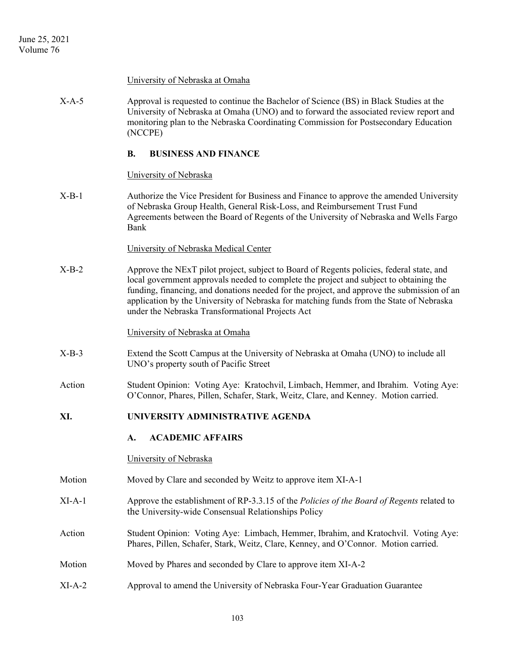#### University of Nebraska at Omaha

X-A-5 Approval is requested to continue the Bachelor of Science (BS) in Black Studies at the University of Nebraska at Omaha (UNO) and to forward the associated review report and monitoring plan to the Nebraska Coordinating Commission for Postsecondary Education (NCCPE)

### **B. BUSINESS AND FINANCE**

#### University of Nebraska

X-B-1 Authorize the Vice President for Business and Finance to approve the amended University of Nebraska Group Health, General Risk-Loss, and Reimbursement Trust Fund Agreements between the Board of Regents of the University of Nebraska and Wells Fargo Bank

## University of Nebraska Medical Center

X-B-2 Approve the NExT pilot project, subject to Board of Regents policies, federal state, and local government approvals needed to complete the project and subject to obtaining the funding, financing, and donations needed for the project, and approve the submission of an application by the University of Nebraska for matching funds from the State of Nebraska under the Nebraska Transformational Projects Act

#### University of Nebraska at Omaha

- X-B-3 Extend the Scott Campus at the University of Nebraska at Omaha (UNO) to include all UNO's property south of Pacific Street
- Action Student Opinion: Voting Aye: Kratochvil, Limbach, Hemmer, and Ibrahim. Voting Aye: O'Connor, Phares, Pillen, Schafer, Stark, Weitz, Clare, and Kenney. Motion carried.

### **XI. UNIVERSITY ADMINISTRATIVE AGENDA**

#### **A. ACADEMIC AFFAIRS**

#### University of Nebraska

- Motion Moved by Clare and seconded by Weitz to approve item XI-A-1
- XI-A-1 Approve the establishment of RP-3.3.15 of the *Policies of the Board of Regents* related to the University-wide Consensual Relationships Policy
- Action Student Opinion: Voting Aye: Limbach, Hemmer, Ibrahim, and Kratochvil. Voting Aye: Phares, Pillen, Schafer, Stark, Weitz, Clare, Kenney, and O'Connor. Motion carried.
- Motion Moved by Phares and seconded by Clare to approve item XI-A-2
- XI-A-2 Approval to amend the University of Nebraska Four-Year Graduation Guarantee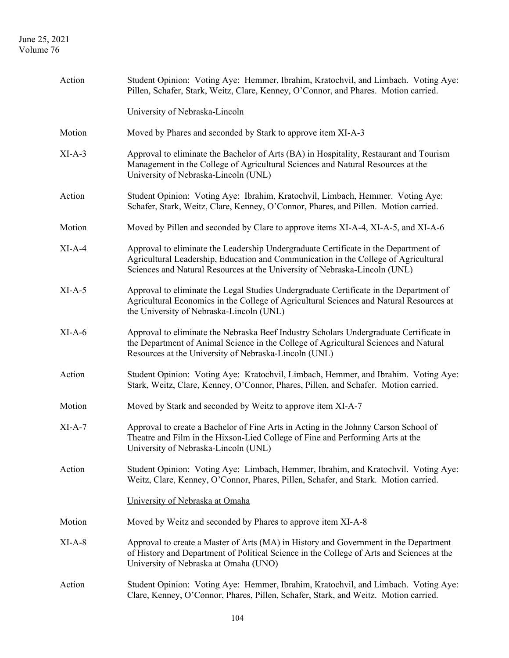| Action   | Student Opinion: Voting Aye: Hemmer, Ibrahim, Kratochvil, and Limbach. Voting Aye:<br>Pillen, Schafer, Stark, Weitz, Clare, Kenney, O'Connor, and Phares. Motion carried.                                                                                |
|----------|----------------------------------------------------------------------------------------------------------------------------------------------------------------------------------------------------------------------------------------------------------|
|          | University of Nebraska-Lincoln                                                                                                                                                                                                                           |
| Motion   | Moved by Phares and seconded by Stark to approve item XI-A-3                                                                                                                                                                                             |
| $XI-A-3$ | Approval to eliminate the Bachelor of Arts (BA) in Hospitality, Restaurant and Tourism<br>Management in the College of Agricultural Sciences and Natural Resources at the<br>University of Nebraska-Lincoln (UNL)                                        |
| Action   | Student Opinion: Voting Aye: Ibrahim, Kratochvil, Limbach, Hemmer. Voting Aye:<br>Schafer, Stark, Weitz, Clare, Kenney, O'Connor, Phares, and Pillen. Motion carried.                                                                                    |
| Motion   | Moved by Pillen and seconded by Clare to approve items XI-A-4, XI-A-5, and XI-A-6                                                                                                                                                                        |
| $XI-A-4$ | Approval to eliminate the Leadership Undergraduate Certificate in the Department of<br>Agricultural Leadership, Education and Communication in the College of Agricultural<br>Sciences and Natural Resources at the University of Nebraska-Lincoln (UNL) |
| $XI-A-5$ | Approval to eliminate the Legal Studies Undergraduate Certificate in the Department of<br>Agricultural Economics in the College of Agricultural Sciences and Natural Resources at<br>the University of Nebraska-Lincoln (UNL)                            |
| $XI-A-6$ | Approval to eliminate the Nebraska Beef Industry Scholars Undergraduate Certificate in<br>the Department of Animal Science in the College of Agricultural Sciences and Natural<br>Resources at the University of Nebraska-Lincoln (UNL)                  |
| Action   | Student Opinion: Voting Aye: Kratochvil, Limbach, Hemmer, and Ibrahim. Voting Aye:<br>Stark, Weitz, Clare, Kenney, O'Connor, Phares, Pillen, and Schafer. Motion carried.                                                                                |
| Motion   | Moved by Stark and seconded by Weitz to approve item XI-A-7                                                                                                                                                                                              |
| $XI-A-7$ | Approval to create a Bachelor of Fine Arts in Acting in the Johnny Carson School of<br>Theatre and Film in the Hixson-Lied College of Fine and Performing Arts at the<br>University of Nebraska-Lincoln (UNL)                                            |
| Action   | Student Opinion: Voting Aye: Limbach, Hemmer, Ibrahim, and Kratochvil. Voting Aye:<br>Weitz, Clare, Kenney, O'Connor, Phares, Pillen, Schafer, and Stark. Motion carried.                                                                                |
|          | University of Nebraska at Omaha                                                                                                                                                                                                                          |
| Motion   | Moved by Weitz and seconded by Phares to approve item XI-A-8                                                                                                                                                                                             |
| $XI-A-8$ | Approval to create a Master of Arts (MA) in History and Government in the Department<br>of History and Department of Political Science in the College of Arts and Sciences at the<br>University of Nebraska at Omaha (UNO)                               |
| Action   | Student Opinion: Voting Aye: Hemmer, Ibrahim, Kratochvil, and Limbach. Voting Aye:<br>Clare, Kenney, O'Connor, Phares, Pillen, Schafer, Stark, and Weitz. Motion carried.                                                                                |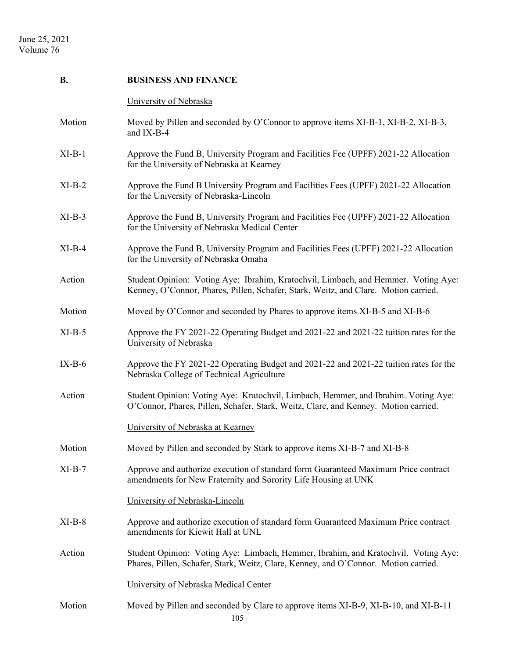| <b>B.</b> | <b>BUSINESS AND FINANCE</b>                                                                                                                                               |
|-----------|---------------------------------------------------------------------------------------------------------------------------------------------------------------------------|
|           | University of Nebraska                                                                                                                                                    |
| Motion    | Moved by Pillen and seconded by O'Connor to approve items XI-B-1, XI-B-2, XI-B-3,<br>and IX-B-4                                                                           |
| $XI-B-1$  | Approve the Fund B, University Program and Facilities Fee (UPFF) 2021-22 Allocation<br>for the University of Nebraska at Kearney                                          |
| $XI-B-2$  | Approve the Fund B University Program and Facilities Fees (UPFF) 2021-22 Allocation<br>for the University of Nebraska-Lincoln                                             |
| $XI-B-3$  | Approve the Fund B, University Program and Facilities Fee (UPFF) 2021-22 Allocation<br>for the University of Nebraska Medical Center                                      |
| $XI-B-4$  | Approve the Fund B, University Program and Facilities Fees (UPFF) 2021-22 Allocation<br>for the University of Nebraska Omaha                                              |
| Action    | Student Opinion: Voting Aye: Ibrahim, Kratochvil, Limbach, and Hemmer. Voting Aye:<br>Kenney, O'Connor, Phares, Pillen, Schafer, Stark, Weitz, and Clare. Motion carried. |
| Motion    | Moved by O'Connor and seconded by Phares to approve items XI-B-5 and XI-B-6                                                                                               |
| $XI-B-5$  | Approve the FY 2021-22 Operating Budget and 2021-22 and 2021-22 tuition rates for the<br>University of Nebraska                                                           |
| $IX-B-6$  | Approve the FY 2021-22 Operating Budget and 2021-22 and 2021-22 tuition rates for the<br>Nebraska College of Technical Agriculture                                        |
| Action    | Student Opinion: Voting Aye: Kratochvil, Limbach, Hemmer, and Ibrahim. Voting Aye:<br>O'Connor, Phares, Pillen, Schafer, Stark, Weitz, Clare, and Kenney. Motion carried. |
|           | University of Nebraska at Kearney                                                                                                                                         |
| Motion    | Moved by Pillen and seconded by Stark to approve items XI-B-7 and XI-B-8                                                                                                  |
| $XI-B-7$  | Approve and authorize execution of standard form Guaranteed Maximum Price contract<br>amendments for New Fraternity and Sorority Life Housing at UNK                      |
|           | University of Nebraska-Lincoln                                                                                                                                            |
| $XI-B-8$  | Approve and authorize execution of standard form Guaranteed Maximum Price contract<br>amendments for Kiewit Hall at UNL                                                   |
| Action    | Student Opinion: Voting Aye: Limbach, Hemmer, Ibrahim, and Kratochvil. Voting Aye:<br>Phares, Pillen, Schafer, Stark, Weitz, Clare, Kenney, and O'Connor. Motion carried. |
|           | University of Nebraska Medical Center                                                                                                                                     |
| Motion    | Moved by Pillen and seconded by Clare to approve items XI-B-9, XI-B-10, and XI-B-11<br>105                                                                                |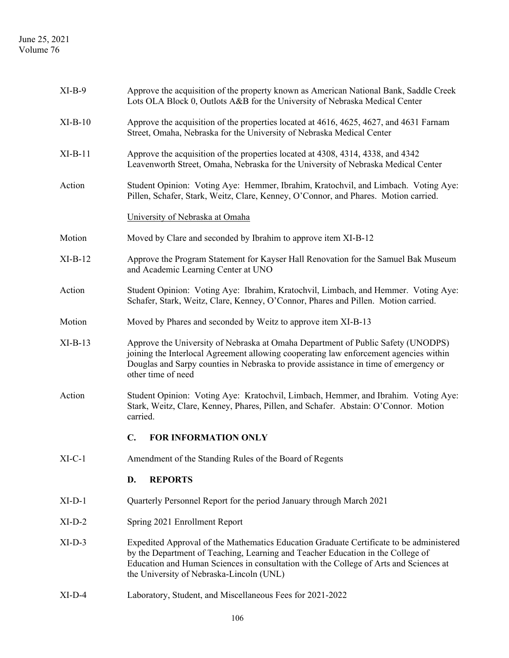| $XI-B-9$  | Approve the acquisition of the property known as American National Bank, Saddle Creek<br>Lots OLA Block 0, Outlots A&B for the University of Nebraska Medical Center                                                                                                                                            |  |  |
|-----------|-----------------------------------------------------------------------------------------------------------------------------------------------------------------------------------------------------------------------------------------------------------------------------------------------------------------|--|--|
| $XI-B-10$ | Approve the acquisition of the properties located at 4616, 4625, 4627, and 4631 Farnam<br>Street, Omaha, Nebraska for the University of Nebraska Medical Center                                                                                                                                                 |  |  |
| $XI-B-11$ | Approve the acquisition of the properties located at 4308, 4314, 4338, and 4342<br>Leavenworth Street, Omaha, Nebraska for the University of Nebraska Medical Center                                                                                                                                            |  |  |
| Action    | Student Opinion: Voting Aye: Hemmer, Ibrahim, Kratochvil, and Limbach. Voting Aye:<br>Pillen, Schafer, Stark, Weitz, Clare, Kenney, O'Connor, and Phares. Motion carried.                                                                                                                                       |  |  |
|           | University of Nebraska at Omaha                                                                                                                                                                                                                                                                                 |  |  |
| Motion    | Moved by Clare and seconded by Ibrahim to approve item XI-B-12                                                                                                                                                                                                                                                  |  |  |
| $XI-B-12$ | Approve the Program Statement for Kayser Hall Renovation for the Samuel Bak Museum<br>and Academic Learning Center at UNO                                                                                                                                                                                       |  |  |
| Action    | Student Opinion: Voting Aye: Ibrahim, Kratochvil, Limbach, and Hemmer. Voting Aye:<br>Schafer, Stark, Weitz, Clare, Kenney, O'Connor, Phares and Pillen. Motion carried.                                                                                                                                        |  |  |
| Motion    | Moved by Phares and seconded by Weitz to approve item XI-B-13                                                                                                                                                                                                                                                   |  |  |
| $XI-B-13$ | Approve the University of Nebraska at Omaha Department of Public Safety (UNODPS)<br>joining the Interlocal Agreement allowing cooperating law enforcement agencies within<br>Douglas and Sarpy counties in Nebraska to provide assistance in time of emergency or<br>other time of need                         |  |  |
| Action    | Student Opinion: Voting Aye: Kratochvil, Limbach, Hemmer, and Ibrahim. Voting Aye:<br>Stark, Weitz, Clare, Kenney, Phares, Pillen, and Schafer. Abstain: O'Connor. Motion<br>carried.                                                                                                                           |  |  |
|           | <b>FOR INFORMATION ONLY</b><br>$\mathbf{C}$ .                                                                                                                                                                                                                                                                   |  |  |
| $XI-C-1$  | Amendment of the Standing Rules of the Board of Regents                                                                                                                                                                                                                                                         |  |  |
|           | D.<br><b>REPORTS</b>                                                                                                                                                                                                                                                                                            |  |  |
| $XI-D-1$  | Quarterly Personnel Report for the period January through March 2021                                                                                                                                                                                                                                            |  |  |
| $XI-D-2$  | Spring 2021 Enrollment Report                                                                                                                                                                                                                                                                                   |  |  |
| $XI-D-3$  | Expedited Approval of the Mathematics Education Graduate Certificate to be administered<br>by the Department of Teaching, Learning and Teacher Education in the College of<br>Education and Human Sciences in consultation with the College of Arts and Sciences at<br>the University of Nebraska-Lincoln (UNL) |  |  |
| $XI-D-4$  | Laboratory, Student, and Miscellaneous Fees for 2021-2022                                                                                                                                                                                                                                                       |  |  |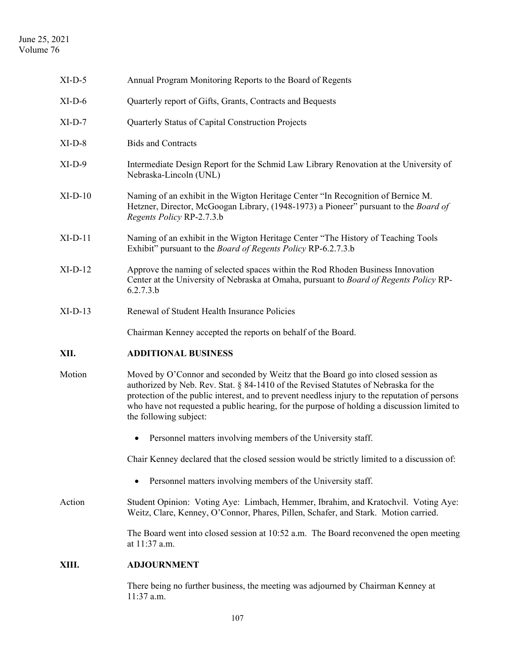| $XI-D-5$  | Annual Program Monitoring Reports to the Board of Regents                                                                                                                                                                                                                                                                                                                                          |
|-----------|----------------------------------------------------------------------------------------------------------------------------------------------------------------------------------------------------------------------------------------------------------------------------------------------------------------------------------------------------------------------------------------------------|
| $XI-D-6$  | Quarterly report of Gifts, Grants, Contracts and Bequests                                                                                                                                                                                                                                                                                                                                          |
| $XI-D-7$  | Quarterly Status of Capital Construction Projects                                                                                                                                                                                                                                                                                                                                                  |
| $XI-D-8$  | <b>Bids and Contracts</b>                                                                                                                                                                                                                                                                                                                                                                          |
| $XI-D-9$  | Intermediate Design Report for the Schmid Law Library Renovation at the University of<br>Nebraska-Lincoln (UNL)                                                                                                                                                                                                                                                                                    |
| $XI-D-10$ | Naming of an exhibit in the Wigton Heritage Center "In Recognition of Bernice M.<br>Hetzner, Director, McGoogan Library, (1948-1973) a Pioneer" pursuant to the <i>Board of</i><br>Regents Policy RP-2.7.3.b                                                                                                                                                                                       |
| $XI-D-11$ | Naming of an exhibit in the Wigton Heritage Center "The History of Teaching Tools<br>Exhibit" pursuant to the <i>Board of Regents Policy</i> RP-6.2.7.3.b                                                                                                                                                                                                                                          |
| $XI-D-12$ | Approve the naming of selected spaces within the Rod Rhoden Business Innovation<br>Center at the University of Nebraska at Omaha, pursuant to Board of Regents Policy RP-<br>6.2.7.3.b                                                                                                                                                                                                             |
| $XI-D-13$ | Renewal of Student Health Insurance Policies                                                                                                                                                                                                                                                                                                                                                       |
|           | Chairman Kenney accepted the reports on behalf of the Board.                                                                                                                                                                                                                                                                                                                                       |
| XII.      | <b>ADDITIONAL BUSINESS</b>                                                                                                                                                                                                                                                                                                                                                                         |
| Motion    | Moved by O'Connor and seconded by Weitz that the Board go into closed session as<br>authorized by Neb. Rev. Stat. § 84-1410 of the Revised Statutes of Nebraska for the<br>protection of the public interest, and to prevent needless injury to the reputation of persons<br>who have not requested a public hearing, for the purpose of holding a discussion limited to<br>the following subject: |
|           | Personnel matters involving members of the University staff.<br>$\bullet$                                                                                                                                                                                                                                                                                                                          |
|           | Chair Kenney declared that the closed session would be strictly limited to a discussion of:                                                                                                                                                                                                                                                                                                        |
|           | Personnel matters involving members of the University staff.<br>$\bullet$                                                                                                                                                                                                                                                                                                                          |
|           |                                                                                                                                                                                                                                                                                                                                                                                                    |
| Action    | Student Opinion: Voting Aye: Limbach, Hemmer, Ibrahim, and Kratochvil. Voting Aye:<br>Weitz, Clare, Kenney, O'Connor, Phares, Pillen, Schafer, and Stark. Motion carried.                                                                                                                                                                                                                          |
|           | The Board went into closed session at 10:52 a.m. The Board reconvened the open meeting<br>at 11:37 a.m.                                                                                                                                                                                                                                                                                            |
| XIII.     | <b>ADJOURNMENT</b>                                                                                                                                                                                                                                                                                                                                                                                 |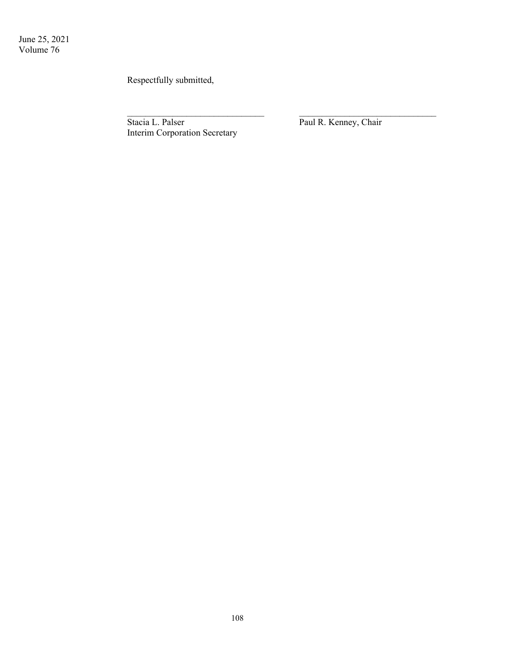Respectfully submitted,

Stacia L. Palser Paul R. Kenney, Chair Interim Corporation Secretary

 $\mathcal{L}_\text{max}$  , and the contract of the contract of the contract of the contract of the contract of the contract of the contract of the contract of the contract of the contract of the contract of the contract of the contr